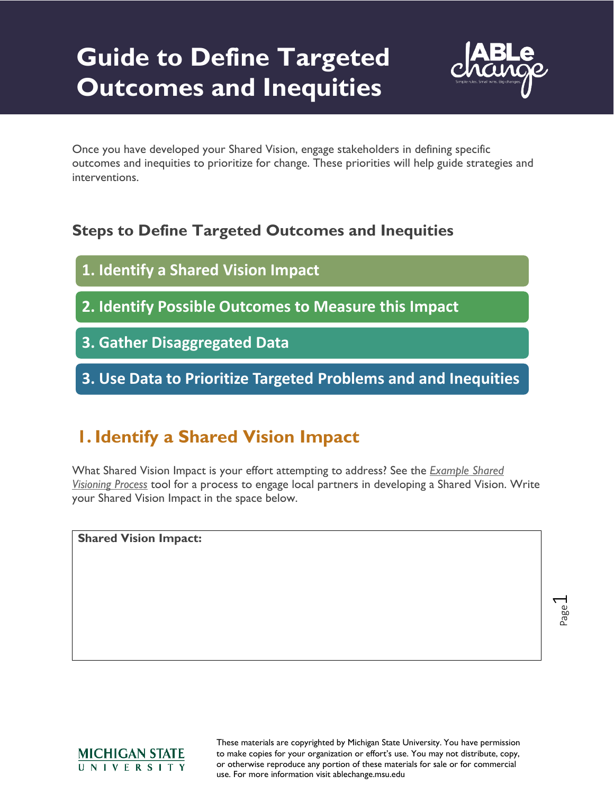# **Guide to Define Targeted Outcomes and Inequities**



Once you have developed your Shared Vision, engage stakeholders in defining specific outcomes and inequities to prioritize for change. These priorities will help guide strategies and interventions.

# **Steps to Define Targeted Outcomes and Inequities**

- **1. Identify a Shared Vision Impact**
- **2. Identify Possible Outcomes to Measure this Impact**
- **3. Gather Disaggregated Data**
- **3. Use Data to Prioritize Targeted Problems and and Inequities**

# **1. Identify a Shared Vision Impact**

What Shared Vision Impact is your effort attempting to address? See the *[Example Shared](http://systemexchange.org/download_file/72/0)  [Visioning Process](http://systemexchange.org/download_file/72/0)* tool for a process to engage local partners in developing a Shared Vision. Write your Shared Vision Impact in the space below.

**Shared Vision Impact:**

Page  $\overline{\phantom{0}}$ 

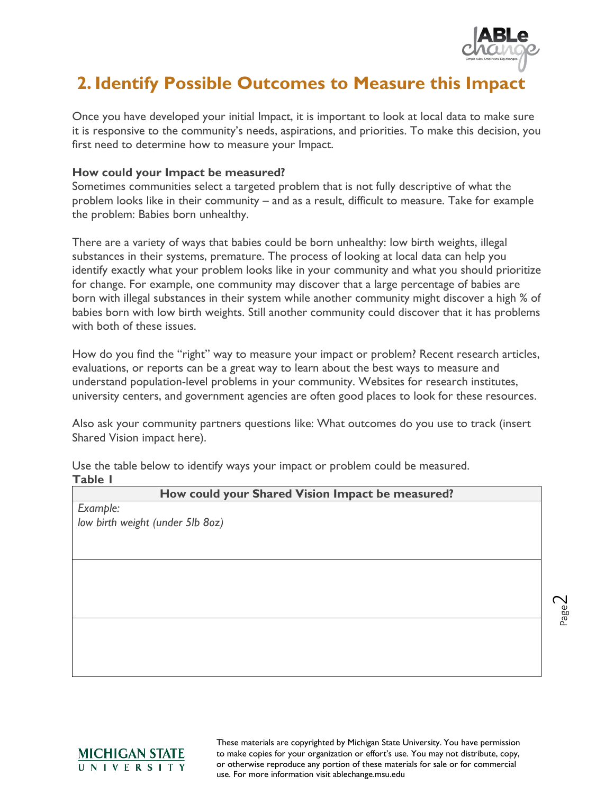

Page  $\overline{\mathsf{C}}$ 

# **2. Identify Possible Outcomes to Measure this Impact**

Once you have developed your initial Impact, it is important to look at local data to make sure it is responsive to the community's needs, aspirations, and priorities. To make this decision, you first need to determine how to measure your Impact.

#### **How could your Impact be measured?**

Sometimes communities select a targeted problem that is not fully descriptive of what the problem looks like in their community – and as a result, difficult to measure. Take for example the problem: Babies born unhealthy.

There are a variety of ways that babies could be born unhealthy: low birth weights, illegal substances in their systems, premature. The process of looking at local data can help you identify exactly what your problem looks like in your community and what you should prioritize for change. For example, one community may discover that a large percentage of babies are born with illegal substances in their system while another community might discover a high % of babies born with low birth weights. Still another community could discover that it has problems with both of these issues.

How do you find the "right" way to measure your impact or problem? Recent research articles, evaluations, or reports can be a great way to learn about the best ways to measure and understand population-level problems in your community. Websites for research institutes, university centers, and government agencies are often good places to look for these resources.

Also ask your community partners questions like: What outcomes do you use to track (insert Shared Vision impact here).

Use the table below to identify ways your impact or problem could be measured. **Table 1**

| How could your Shared Vision Impact be measured? |  |
|--------------------------------------------------|--|
| Example:                                         |  |
| low birth weight (under 5lb 8oz)                 |  |
|                                                  |  |
|                                                  |  |
|                                                  |  |
|                                                  |  |
|                                                  |  |
|                                                  |  |
|                                                  |  |
|                                                  |  |
|                                                  |  |
|                                                  |  |
|                                                  |  |

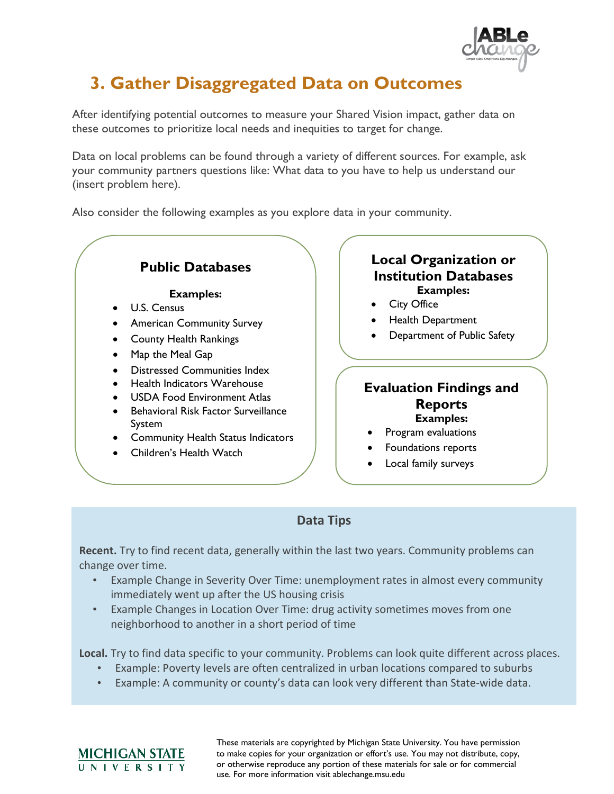

# **3. Gather Disaggregated Data on Outcomes**

After identifying potential outcomes to measure your Shared Vision impact, gather data on these outcomes to prioritize local needs and inequities to target for change.

Data on local problems can be found through a variety of different sources. For example, ask your community partners questions like: What data to you have to help us understand our (insert problem here).

Also consider the following examples as you explore data in your community.

# **Public Databases**

#### **Examples:**

- U.S. Census
- American Community Survey
- County Health Rankings
- Map the Meal Gap
- Distressed Communities Index
- Health Indicators Warehouse
- USDA Food Environment Atlas
- Behavioral Risk Factor Surveillance System
- Community Health Status Indicators
- Children's Health Watch

<u>MICHIGAN STATE</u> UNIVERSITY

# **Local Organization or Institution Databases Examples:**

- **City Office**
- Health Department
- Department of Public Safety

## **Evaluation Findings and Reports Examples:**

- Program evaluations
- Foundations reports
- Local family surveys

## **Data Tips**

**Recent.** Try to find recent data, generally within the last two years. Community problems can change over time.

- Example Change in Severity Over Time: unemployment rates in almost every community immediately went up after the US housing crisis
- Example Changes in Location Over Time: drug activity sometimes moves from one neighborhood to another in a short period of time

**Local.** Try to find data specific to your community. Problems can look quite different across places.

- Example: Poverty levels are often centralized in urban locations compared to suburbs
- Example: A community or county's data can look very different than State-wide data.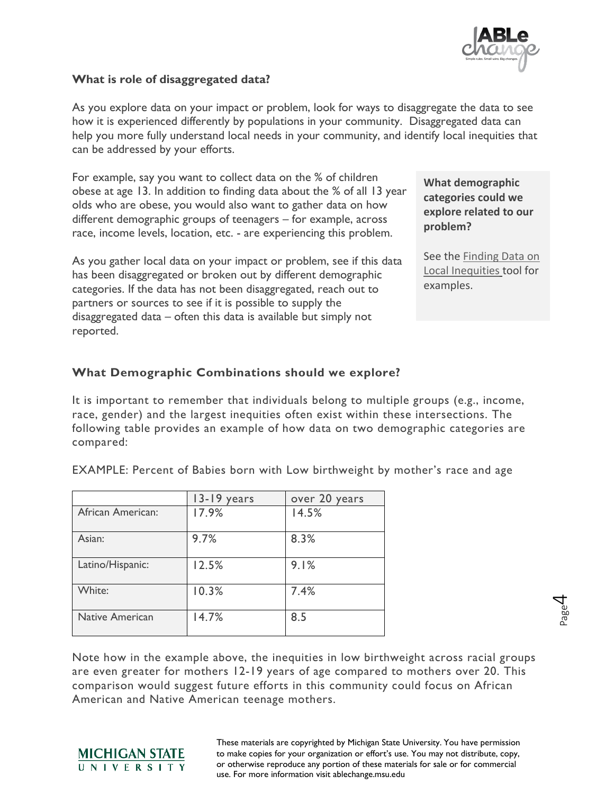

#### **What is role of disaggregated data?**

As you explore data on your impact or problem, look for ways to disaggregate the data to see how it is experienced differently by populations in your community. Disaggregated data can help you more fully understand local needs in your community, and identify local inequities that can be addressed by your efforts.

For example, say you want to collect data on the % of children obese at age 13. In addition to finding data about the % of all 13 year olds who are obese, you would also want to gather data on how different demographic groups of teenagers – for example, across race, income levels, location, etc. - are experiencing this problem.

As you gather local data on your impact or problem, see if this data has been disaggregated or broken out by different demographic categories. If the data has not been disaggregated, reach out to partners or sources to see if it is possible to supply the disaggregated data – often this data is available but simply not reported.

**What demographic categories could we explore related to our problem?**

See the [Finding Data on](https://michirlearning.org/tools-for-action/shared-vision-goals#create_a_shared_vision)  [Local Inequities](https://michirlearning.org/tools-for-action/shared-vision-goals#create_a_shared_vision) tool for examples.

> Page 4

## **What Demographic Combinations should we explore?**

It is important to remember that individuals belong to multiple groups (e.g., income, race, gender) and the largest inequities often exist within these intersections. The following table provides an example of how data on two demographic categories are compared:

|                        | 13-19 years | over 20 years |
|------------------------|-------------|---------------|
| African American:      | 17.9%       | 14.5%         |
| Asian:                 | 9.7%        | 8.3%          |
| Latino/Hispanic:       | 12.5%       | 9.1%          |
| White:                 | 10.3%       | 7.4%          |
| <b>Native American</b> | 14.7%       | 8.5           |

EXAMPLE: Percent of Babies born with Low birthweight by mother's race and age

Note how in the example above, the inequities in low birthweight across racial groups are even greater for mothers 12-19 years of age compared to mothers over 20. This comparison would suggest future efforts in this community could focus on African American and Native American teenage mothers.

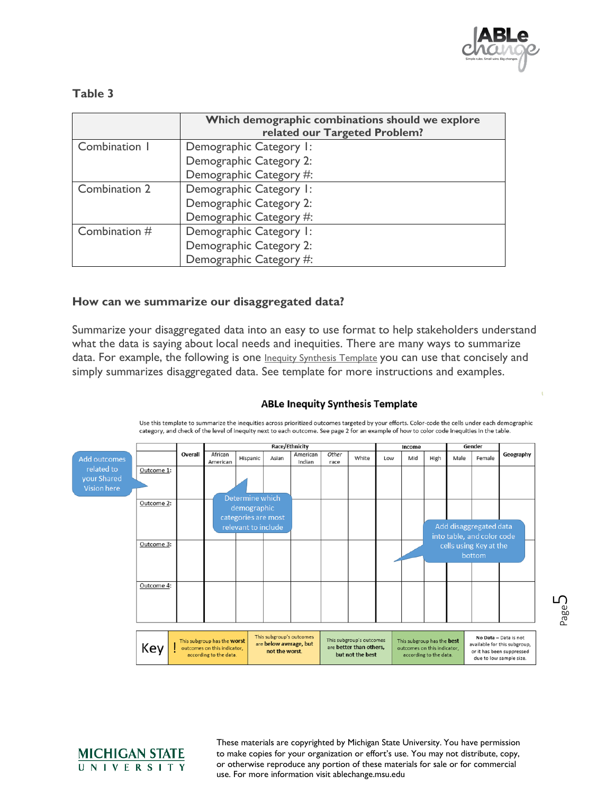

### **Table 3**

|               | Which demographic combinations should we explore<br>related our Targeted Problem? |
|---------------|-----------------------------------------------------------------------------------|
| Combination 1 | Demographic Category I:                                                           |
|               | Demographic Category 2:                                                           |
|               | Demographic Category #:                                                           |
| Combination 2 | Demographic Category I:                                                           |
|               | Demographic Category 2:                                                           |
|               | Demographic Category #:                                                           |
| Combination # | Demographic Category I:                                                           |
|               | Demographic Category 2:                                                           |
|               | Demographic Category #:                                                           |

#### **How can we summarize our disaggregated data?**

Summarize your disaggregated data into an easy to use format to help stakeholders understand what the data is saying about local needs and inequities. There are many ways to summarize data. For example, the following is one *Inequity Synthesis Template* you can use that concisely and simply summarizes disaggregated data. See template for more instructions and examples.

#### **ABLe Inequity Synthesis Template**



Use this template to summarize the inequities across prioritized outcomes targeted by your efforts. Color-code the cells under each demographic category, and check of the level of inequity next to each outcome. See page 2 for an example of how to color code inequities in the table.